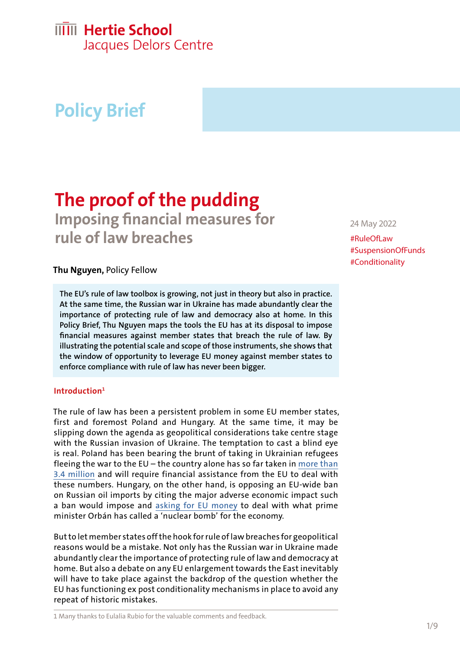# **IIIII** Hertie School

Jacques Delors Centre

# **Policy Brief**

## **The proof of the pudding Imposing financial measures for**

**rule of law breaches**

### **Thu Nguyen,** Policy Fellow

**The EU's rule of law toolbox is growing, not just in theory but also in practice. At the same time, the Russian war in Ukraine has made abundantly clear the importance of protecting rule of law and democracy also at home. In this Policy Brief, Thu Nguyen maps the tools the EU has at its disposal to impose financial measures against member states that breach the rule of law. By illustrating the potential scale and scope of those instruments, she shows that the window of opportunity to leverage EU money against member states to enforce compliance with rule of law has never been bigger.**

#### **Introduction1**

The rule of law has been a persistent problem in some EU member states, first and foremost Poland and Hungary. At the same time, it may be slipping down the agenda as geopolitical considerations take centre stage with the Russian invasion of Ukraine. The temptation to cast a blind eye is real. Poland has been bearing the brunt of taking in Ukrainian refugees fleeing the war to the  $EU$  – the country alone has so far taken in more than [3.4 million](https://data2.unhcr.org/en/situations/ukraine) and will require financial assistance from the EU to deal with these numbers. Hungary, on the other hand, is opposing an EU-wide ban on Russian oil imports by citing the major adverse economic impact such a ban would impose and [asking for EU money](https://twitter.com/eublogo/status/1522459481979990016) to deal with what prime minister Orbán has called a 'nuclear bomb' for the economy.

But to let member states off the hook for rule of law breaches for geopolitical reasons would be a mistake. Not only has the Russian war in Ukraine made abundantly clear the importance of protecting rule of law and democracy at home. But also a debate on any EU enlargement towards the East inevitably will have to take place against the backdrop of the question whether the EU has functioning ex post conditionality mechanisms in place to avoid any repeat of historic mistakes.

#### 24 May 2022

#RuleOfLaw #SuspensionOfFunds #Conditionality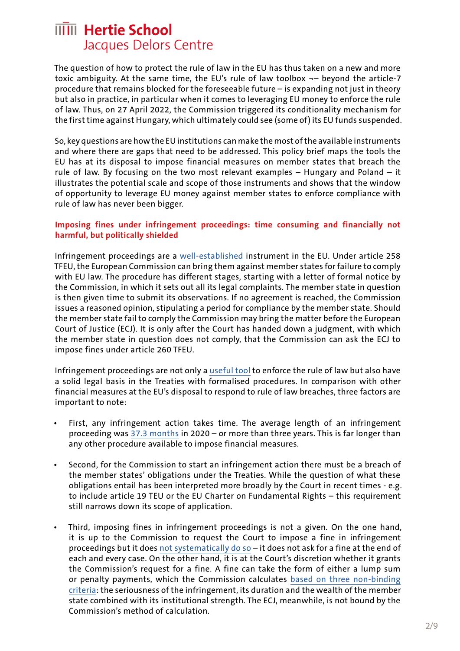The question of how to protect the rule of law in the EU has thus taken on a new and more toxic ambiguity. At the same time, the EU's rule of law toolbox  $\neg$ - beyond the article-7 procedure that remains blocked for the foreseeable future – is expanding not just in theory but also in practice, in particular when it comes to leveraging EU money to enforce the rule of law. Thus, on 27 April 2022, the Commission triggered its conditionality mechanism for the first time against Hungary, which ultimately could see (some of) its EU funds suspended.

So, key questions are how the EU institutions can make the most of the available instruments and where there are gaps that need to be addressed. This policy brief maps the tools the EU has at its disposal to impose financial measures on member states that breach the rule of law. By focusing on the two most relevant examples – Hungary and Poland – it illustrates the potential scale and scope of those instruments and shows that the window of opportunity to leverage EU money against member states to enforce compliance with rule of law has never been bigger.

#### **Imposing fines under infringement proceedings: time consuming and financially not harmful, but politically shielded**

Infringement proceedings are a [well-established](https://www.cambridge.org/core/journals/european-constitutional-law-review/article/infringement-actions-20-how-to-protect-eu-values-before-the-court-of-justice/97FA921211E5DD14DC0B51DBADE10B34) instrument in the EU. Under article 258 TFEU, the European Commission can bring them against member states for failure to comply with EU law. The procedure has different stages, starting with a letter of formal notice by the Commission, in which it sets out all its legal complaints. The member state in question is then given time to submit its observations. If no agreement is reached, the Commission issues a reasoned opinion, stipulating a period for compliance by the member state. Should the member state fail to comply the Commission may bring the matter before the European Court of Justice (ECJ). It is only after the Court has handed down a judgment, with which the member state in question does not comply, that the Commission can ask the ECJ to impose fines under article 260 TFEU.

Infringement proceedings are not only a [useful tool](https://www.cambridge.org/core/journals/european-constitutional-law-review/article/infringement-actions-20-how-to-protect-eu-values-before-the-court-of-justice/97FA921211E5DD14DC0B51DBADE10B34) to enforce the rule of law but also have a solid legal basis in the Treaties with formalised procedures. In comparison with other financial measures at the EU's disposal to respond to rule of law breaches, three factors are important to note:

- First, any infringement action takes time. The average length of an infringement proceeding was [37.3 months](https://single-market-scoreboard.ec.europa.eu/governance-tools/infringements_en) in 2020 – or more than three years. This is far longer than any other procedure available to impose financial measures.
- Second, for the Commission to start an infringement action there must be a breach of the member states' obligations under the Treaties. While the question of what these obligations entail has been interpreted more broadly by the Court in recent times - e.g. to include article 19 TEU or the EU Charter on Fundamental Rights – this requirement still narrows down its scope of application.
- Third, imposing fines in infringement proceedings is not a given. On the one hand, it is up to the Commission to request the Court to impose a fine in infringement proceedings but it does [not systematically do so](https://kluwerlawonline.com/journalarticle/Common+Market+Law+Review/58.3/COLA2021085) – it does not ask for a fine at the end of each and every case. On the other hand, it is at the Court's discretion whether it grants the Commission's request for a fine. A fine can take the form of either a lump sum or penalty payments, which the Commission calculates [based on three non-binding](https://eur-lex.europa.eu/legal-content/EN/TXT/HTML/?uri=CELEX:52005SC1658&from=EN)  [criteria:](https://eur-lex.europa.eu/legal-content/EN/TXT/HTML/?uri=CELEX:52005SC1658&from=EN) the seriousness of the infringement, its duration and the wealth of the member state combined with its institutional strength. The ECJ, meanwhile, is not bound by the Commission's method of calculation.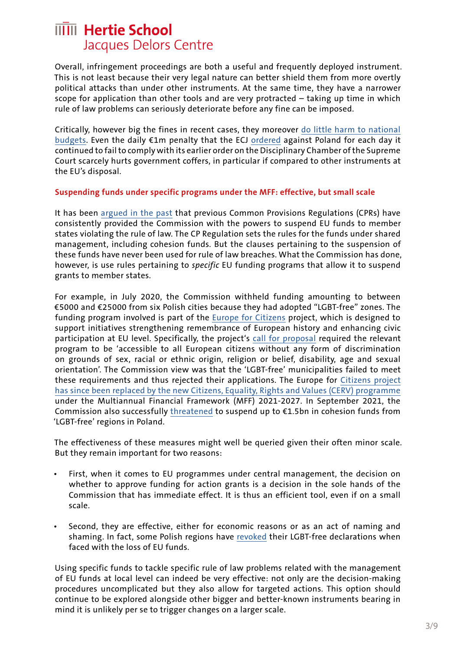Overall, infringement proceedings are both a useful and frequently deployed instrument. This is not least because their very legal nature can better shield them from more overtly political attacks than under other instruments. At the same time, they have a narrower scope for application than other tools and are very protracted – taking up time in which rule of law problems can seriously deteriorate before any fine can be imposed.

Critically, however big the fines in recent cases, they moreover [do little harm to national](https://verfassungsblog.de/how-much-money-is-a-lot-of-money/)  [budgets](https://verfassungsblog.de/how-much-money-is-a-lot-of-money/). Even the daily €1m penalty that the ECJ [ordered](https://curia.europa.eu/jcms/upload/docs/application/pdf/2021-10/cp210192en.pdf) against Poland for each day it continued to fail to comply with its earlier order on the Disciplinary Chamber of the Supreme Court scarcely hurts government coffers, in particular if compared to other instruments at the EU's disposal.

#### **Suspending funds under specific programs under the MFF: effective, but small scale**

It has been [argued in the past](https://deliverypdf.ssrn.com/delivery.php?ID=292084092121074081064010071079112119035088025016027009096000127075095028075008066010062032061034008009023113031099103126092068047091011052051101117126121097112111031001062055024114103093098087022011103112002072031106006066002022006013068075004030070083&EXT=pdf&INDEX=TRUE) that previous Common Provisions Regulations (CPRs) have consistently provided the Commission with the powers to suspend EU funds to member states violating the rule of law. The CP Regulation sets the rules for the funds under shared management, including cohesion funds. But the clauses pertaining to the suspension of these funds have never been used for rule of law breaches. What the Commission has done, however, is use rules pertaining to *specific* EU funding programs that allow it to suspend grants to member states.

For example, in July 2020, the Commission withheld funding amounting to between €5000 and €25000 from six Polish cities because they had adopted "LGBT-free" zones. The funding program involved is part of the [Europe for Citizens](https://www.eacea.ec.europa.eu/grants/2014-2020/europe-citizens_en) project, which is designed to support initiatives strengthening remembrance of European history and enhancing civic participation at EU level. Specifically, the project's [call for proposal](https://wayback.archive-it.org/12090/20210122020738mp_/https:/eacea.ec.europa.eu/sites/eacea-site/files/programme_guide_2020_final_0.pdf) required the relevant program to be 'accessible to all European citizens without any form of discrimination on grounds of sex, racial or ethnic origin, religion or belief, disability, age and sexual orientation'. The Commission view was that the 'LGBT-free' municipalities failed to meet these requirements and thus rejected their applications. The Europe for [Citizens project](https://ec.europa.eu/info/departments/justice-and-consumers/justice-and-consumers-funding-tenders/funding-programmes/citizens-equality-rights-and-values-programme_de)  [has since been replaced by the new Citizens, Equality, Rights and Values \(CERV\) programme](https://ec.europa.eu/info/departments/justice-and-consumers/justice-and-consumers-funding-tenders/funding-programmes/citizens-equality-rights-and-values-programme_de)  under the Multiannual Financial Framework (MFF) 2021-2027. In September 2021, the Commission also successfully [threatened](https://www.reuters.com/world/europe/eu-warns-polish-regions-they-could-lose-funding-over-lgbt-free-zones-2021-09-06/) to suspend up to €1.5bn in cohesion funds from 'LGBT-free' regions in Poland.

The effectiveness of these measures might well be queried given their often minor scale. But they remain important for two reasons:

- First, when it comes to EU programmes under central management, the decision on whether to approve funding for action grants is a decision in the sole hands of the Commission that has immediate effect. It is thus an efficient tool, even if on a small scale.
- Second, they are effective, either for economic reasons or as an act of naming and shaming. In fact, some Polish regions have [revoked](https://www.euronews.com/2021/09/23/polish-region-revokes-anti-lgbt-declaration-over-loss-of-eu-funding) their LGBT-free declarations when faced with the loss of EU funds.

Using specific funds to tackle specific rule of law problems related with the management of EU funds at local level can indeed be very effective: not only are the decision-making procedures uncomplicated but they also allow for targeted actions. This option should continue to be explored alongside other bigger and better-known instruments bearing in mind it is unlikely per se to trigger changes on a larger scale.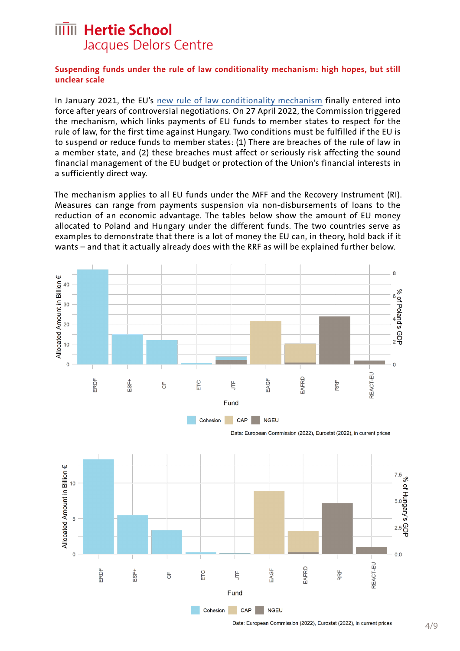#### **Suspending funds under the rule of law conditionality mechanism: high hopes, but still unclear scale**

In January 2021, the EU's [new rule of law conditionality mechanism](https://www.delorscentre.eu/en/publications/detail/publication/the-eus-new-rule-of-law-mechanism) finally entered into force after years of controversial negotiations. On 27 April 2022, the Commission triggered the mechanism, which links payments of EU funds to member states to respect for the rule of law, for the first time against Hungary. Two conditions must be fulfilled if the EU is to suspend or reduce funds to member states: (1) There are breaches of the rule of law in a member state, and (2) these breaches must affect or seriously risk affecting the sound financial management of the EU budget or protection of the Union's financial interests in a sufficiently direct way.

The mechanism applies to all EU funds under the MFF and the Recovery Instrument (RI). Measures can range from payments suspension via non-disbursements of loans to the reduction of an economic advantage. The tables below show the amount of EU money allocated to Poland and Hungary under the different funds. The two countries serve as examples to demonstrate that there is a lot of money the EU can, in theory, hold back if it wants – and that it actually already does with the RRF as will be explained further below.





Data: European Commission (2022), Eurostat (2022), in current prices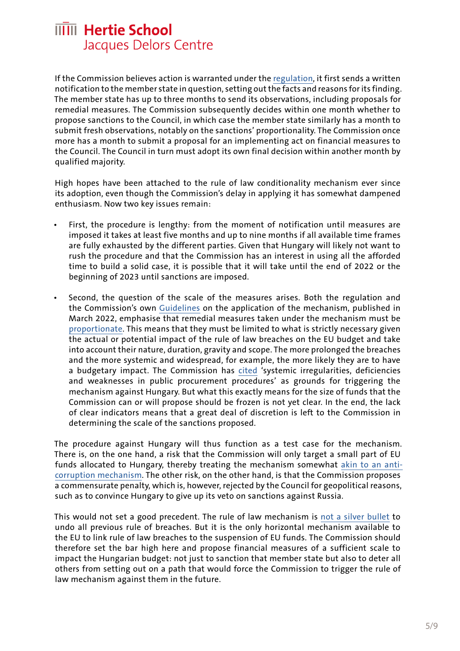If the Commission believes action is warranted under the [regulation](https://eur-lex.europa.eu/legal-content/EN/TXT/?uri=uriserv:OJ.LI.2020.433.01.0001.01.ENG&toc=OJ:L:2020:433I:TOC), it first sends a written notification to the member state in question, setting out the facts and reasons for its finding. The member state has up to three months to send its observations, including proposals for remedial measures. The Commission subsequently decides within one month whether to propose sanctions to the Council, in which case the member state similarly has a month to submit fresh observations, notably on the sanctions' proportionality. The Commission once more has a month to submit a proposal for an implementing act on financial measures to the Council. The Council in turn must adopt its own final decision within another month by qualified majority.

High hopes have been attached to the rule of law conditionality mechanism ever since its adoption, even though the Commission's delay in applying it has somewhat dampened enthusiasm. Now two key issues remain:

- First, the procedure is lengthy: from the moment of notification until measures are imposed it takes at least five months and up to nine months if all available time frames are fully exhausted by the different parties. Given that Hungary will likely not want to rush the procedure and that the Commission has an interest in using all the afforded time to build a solid case, it is possible that it will take until the end of 2022 or the beginning of 2023 until sanctions are imposed.
- Second, the question of the scale of the measures arises. Both the regulation and the Commission's own [Guidelines](https://ec.europa.eu/info/sites/default/files/about_the_european_commission/eu_budget/c_2022_1382_3_en_act_part1_v7.pdf) on the application of the mechanism, published in March 2022, emphasise that remedial measures taken under the mechanism must be [proportionate.](https://curia.europa.eu/juris/document/document.jsf?docid=254061&mode=req&pageIndex=1&dir=&occ=first&part=1&text=&doclang=EN&cid=2646708) This means that they must be limited to what is strictly necessary given the actual or potential impact of the rule of law breaches on the EU budget and take into account their nature, duration, gravity and scope. The more prolonged the breaches and the more systemic and widespread, for example, the more likely they are to have a budgetary impact. The Commission has [cited](https://www.politico.eu/article/eu-european-commission-rule-law-mechanism-hungary-funds/) 'systemic irregularities, deficiencies and weaknesses in public procurement procedures' as grounds for triggering the mechanism against Hungary. But what this exactly means for the size of funds that the Commission can or will propose should be frozen is not yet clear. In the end, the lack of clear indicators means that a great deal of discretion is left to the Commission in determining the scale of the sanctions proposed.

The procedure against Hungary will thus function as a test case for the mechanism. There is, on the one hand, a risk that the Commission will only target a small part of EU funds allocated to Hungary, thereby treating the mechanism somewhat [akin to an anti](https://twitter.com/rdanielkelemen/status/1511675896146636804?s=20&t=XlJvyC-fouwZWJgItNv8_Q)[corruption mechanism.](https://twitter.com/rdanielkelemen/status/1511675896146636804?s=20&t=XlJvyC-fouwZWJgItNv8_Q) The other risk, on the other hand, is that the Commission proposes a commensurate penalty, which is, however, rejected by the Council for geopolitical reasons, such as to convince Hungary to give up its veto on sanctions against Russia.

This would not set a good precedent. The rule of law mechanism is [not a silver bullet](https://www.hertie-school.org/fileadmin/2_Research/1_About_our_research/2_Research_centres/6_Jacques_Delors_Centre/Publications/20201217_Rule_of_law_Nguyen.pdf) to undo all previous rule of breaches. But it is the only horizontal mechanism available to the EU to link rule of law breaches to the suspension of EU funds. The Commission should therefore set the bar high here and propose financial measures of a sufficient scale to impact the Hungarian budget: not just to sanction that member state but also to deter all others from setting out on a path that would force the Commission to trigger the rule of law mechanism against them in the future.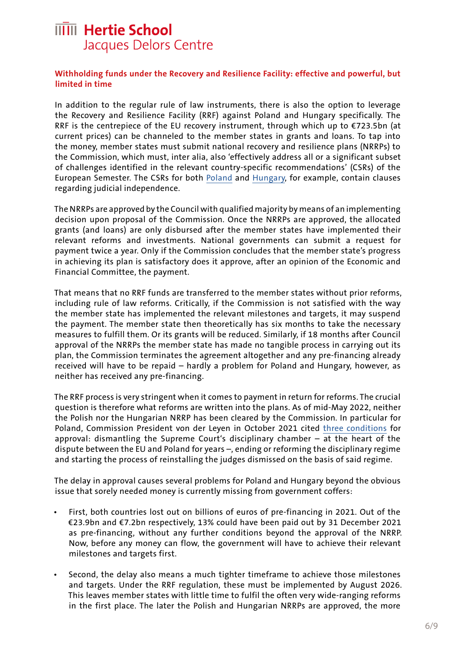#### **Withholding funds under the Recovery and Resilience Facility: effective and powerful, but limited in time**

In addition to the regular rule of law instruments, there is also the option to leverage the Recovery and Resilience Facility (RRF) against Poland and Hungary specifically. The RRF is the centrepiece of the EU recovery instrument, through which up to €723.5bn (at current prices) can be channeled to the member states in grants and loans. To tap into the money, member states must submit national recovery and resilience plans (NRRPs) to the Commission, which must, inter alia, also 'effectively address all or a significant subset of challenges identified in the relevant country-specific recommendations' (CSRs) of the European Semester. The CSRs for both [Poland](https://eur-lex.europa.eu/legal-content/EN/TXT/?qid=1591720698631&uri=CELEX%3A52020DC0521) and [Hungary,](https://eur-lex.europa.eu/legal-content/EN/TXT/?qid=1560258548351&uri=CELEX%3A52019DC0517) for example, contain clauses regarding judicial independence.

The NRRPs are approved by the Council with qualified majority by means of an implementing decision upon proposal of the Commission. Once the NRRPs are approved, the allocated grants (and loans) are only disbursed after the member states have implemented their relevant reforms and investments. National governments can submit a request for payment twice a year. Only if the Commission concludes that the member state's progress in achieving its plan is satisfactory does it approve, after an opinion of the Economic and Financial Committee, the payment.

That means that no RRF funds are transferred to the member states without prior reforms, including rule of law reforms. Critically, if the Commission is not satisfied with the way the member state has implemented the relevant milestones and targets, it may suspend the payment. The member state then theoretically has six months to take the necessary measures to fulfill them. Or its grants will be reduced. Similarly, if 18 months after Council approval of the NRRPs the member state has made no tangible process in carrying out its plan, the Commission terminates the agreement altogether and any pre-financing already received will have to be repaid – hardly a problem for Poland and Hungary, however, as neither has received any pre-financing.

The RRF process is very stringent when it comes to payment in return for reforms. The crucial question is therefore what reforms are written into the plans. As of mid-May 2022, neither the Polish nor the Hungarian NRRP has been cleared by the Commission. In particular for Poland, Commission President von der Leyen in October 2021 cited [three conditions](https://www.politico.eu/article/european-commission-ursula-von-der-leyen-sees-path-compromise-to-unlock-polish-recovery-funds/) for approval: dismantling the Supreme Court's disciplinary chamber – at the heart of the dispute between the EU and Poland for years –, ending or reforming the disciplinary regime and starting the process of reinstalling the judges dismissed on the basis of said regime.

The delay in approval causes several problems for Poland and Hungary beyond the obvious issue that sorely needed money is currently missing from government coffers:

- First, both countries lost out on billions of euros of pre-financing in 2021. Out of the €23.9bn and €7.2bn respectively, 13% could have been paid out by 31 December 2021 as pre-financing, without any further conditions beyond the approval of the NRRP. Now, before any money can flow, the government will have to achieve their relevant milestones and targets first.
- Second, the delay also means a much tighter timeframe to achieve those milestones and targets. Under the RRF regulation, these must be implemented by August 2026. This leaves member states with little time to fulfil the often very wide-ranging reforms in the first place. The later the Polish and Hungarian NRRPs are approved, the more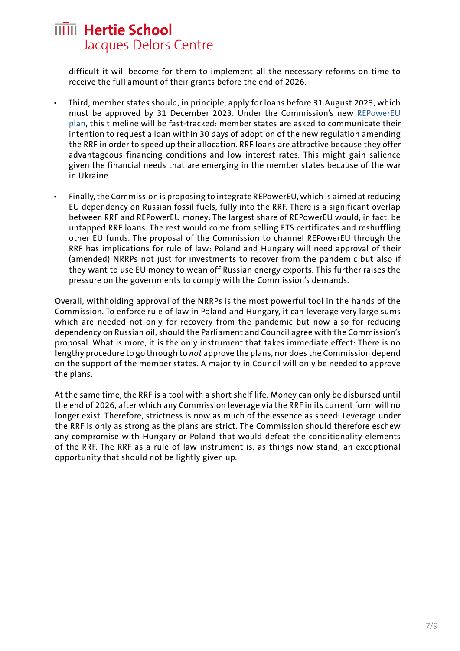difficult it will become for them to implement all the necessary reforms on time to receive the full amount of their grants before the end of 2026.

- Third, member states should, in principle, apply for loans before 31 August 2023, which must be approved by 31 December 2023. Under the Commission's new [REPowerEU](https://ec.europa.eu/commission/presscorner/detail/en/ip_22_3131)  [plan,](https://ec.europa.eu/commission/presscorner/detail/en/ip_22_3131) this timeline will be fast-tracked: member states are asked to communicate their intention to request a loan within 30 days of adoption of the new regulation amending the RRF in order to speed up their allocation. RRF loans are attractive because they offer advantageous financing conditions and low interest rates. This might gain salience given the financial needs that are emerging in the member states because of the war in Ukraine.
- Finally, the Commission is proposing to integrate REPowerEU, which is aimed at reducing EU dependency on Russian fossil fuels, fully into the RRF. There is a significant overlap between RRF and REPowerEU money: The largest share of REPowerEU would, in fact, be untapped RRF loans. The rest would come from selling ETS certificates and reshuffling other EU funds. The proposal of the Commission to channel REPowerEU through the RRF has implications for rule of law: Poland and Hungary will need approval of their (amended) NRRPs not just for investments to recover from the pandemic but also if they want to use EU money to wean off Russian energy exports. This further raises the pressure on the governments to comply with the Commission's demands.

Overall, withholding approval of the NRRPs is the most powerful tool in the hands of the Commission. To enforce rule of law in Poland and Hungary, it can leverage very large sums which are needed not only for recovery from the pandemic but now also for reducing dependency on Russian oil, should the Parliament and Council agree with the Commission's proposal. What is more, it is the only instrument that takes immediate effect: There is no lengthy procedure to go through to *not* approve the plans, nor does the Commission depend on the support of the member states. A majority in Council will only be needed to approve the plans.

At the same time, the RRF is a tool with a short shelf life. Money can only be disbursed until the end of 2026, after which any Commission leverage via the RRF in its current form will no longer exist. Therefore, strictness is now as much of the essence as speed: Leverage under the RRF is only as strong as the plans are strict. The Commission should therefore eschew any compromise with Hungary or Poland that would defeat the conditionality elements of the RRF. The RRF as a rule of law instrument is, as things now stand, an exceptional opportunity that should not be lightly given up.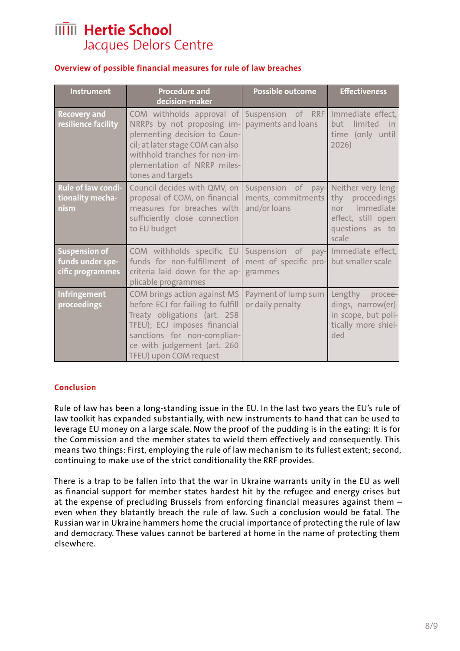### **Overview of possible financial measures for rule of law breaches**

| <b>Instrument</b>                                            | <b>Procedure and</b><br>decision-maker                                                                                                                                                                                                                | Possible outcome                                                                           | <b>Effectiveness</b>                                                                                        |
|--------------------------------------------------------------|-------------------------------------------------------------------------------------------------------------------------------------------------------------------------------------------------------------------------------------------------------|--------------------------------------------------------------------------------------------|-------------------------------------------------------------------------------------------------------------|
| <b>Recovery and</b><br>resilience facility                   | COM withholds approval of Suspension of RRF<br>NRRPs by not proposing im- payments and loans<br>plementing decision to Coun-<br>cil; at later stage COM can also<br>withhold tranches for non-im-<br>plementation of NRRP miles-<br>tones and targets |                                                                                            | Immediate effect,<br>limited<br>hut -<br>in.<br>time (only until<br>2026)                                   |
| Rule of law condi-<br>tionality mecha-<br>nism               | Council decides with QMV, on<br>proposal of COM, on financial<br>measures for breaches with<br>sufficiently close connection<br>to EU budget                                                                                                          | Suspension of pay-<br>ments, commitments<br>and/or loans                                   | Neither very leng-<br>thy<br>proceedings<br>nor immediate<br>effect, still open<br>questions as to<br>scale |
| <b>Suspension of</b><br>funds under spe-<br>cific programmes | COM withholds specific EU<br>funds for non-fulfillment of<br>criteria laid down for the ap-<br>plicable programmes                                                                                                                                    | Suspension of pay- Immediate effect,<br>ment of specific pro- but smaller scale<br>grammes |                                                                                                             |
| Infringement<br>proceedings                                  | COM brings action against MS<br>before ECJ for failing to fulfill<br>Treaty obligations (art. 258<br>TFEU); ECJ imposes financial<br>sanctions for non-complian-<br>ce with judgement (art. 260<br>TFEU) upon COM request                             | Payment of lump sum<br>or daily penalty                                                    | Lengthy<br>procee-<br>dings, narrow(er)<br>in scope, but poli-<br>tically more shiel-<br>ded                |

### **Conclusion**

Rule of law has been a long-standing issue in the EU. In the last two years the EU's rule of law toolkit has expanded substantially, with new instruments to hand that can be used to leverage EU money on a large scale. Now the proof of the pudding is in the eating: It is for the Commission and the member states to wield them effectively and consequently. This means two things: First, employing the rule of law mechanism to its fullest extent; second, continuing to make use of the strict conditionality the RRF provides.

There is a trap to be fallen into that the war in Ukraine warrants unity in the EU as well as financial support for member states hardest hit by the refugee and energy crises but at the expense of precluding Brussels from enforcing financial measures against them – even when they blatantly breach the rule of law. Such a conclusion would be fatal. The Russian war in Ukraine hammers home the crucial importance of protecting the rule of law and democracy. These values cannot be bartered at home in the name of protecting them elsewhere.